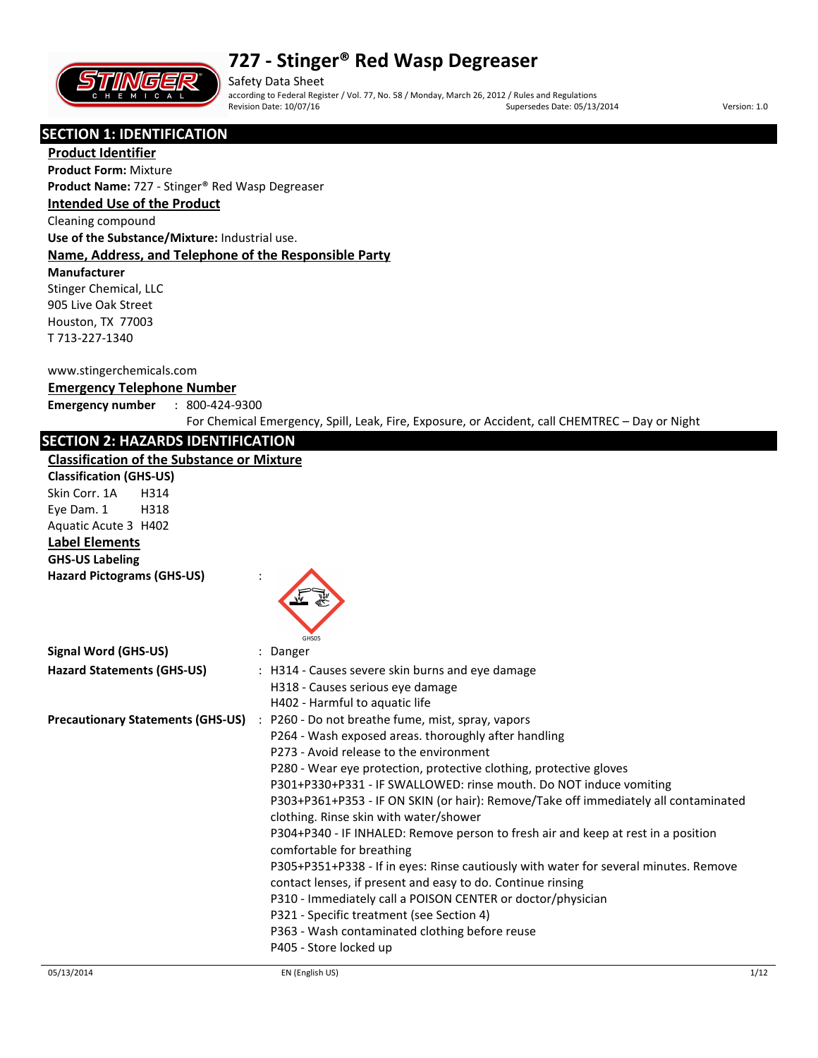

Safety Data Sheet according to Federal Register / Vol. 77, No. 58 / Monday, March 26, 2012 / Rules and Regulations Supersedes Date: 05/13/2014 Version: 1.0

# **SECTION 1: IDENTIFICATION**

**Product Identifier Product Form:** Mixture

**Product Name:** 727 - Stinger® Red Wasp Degreaser

### **Intended Use of the Product**

Cleaning compound

**Use of the Substance/Mixture:** Industrial use.

### **Name, Address, and Telephone of the Responsible Party**

**Manufacturer** 

Stinger Chemical, LLC 905 Live Oak Street Houston, TX 77003 T 713-227-1340

#### www.stingerchemicals.com

### **Emergency Telephone Number**

**Emergency number** : 800-424-9300

For Chemical Emergency, Spill, Leak, Fire, Exposure, or Accident, call CHEMTREC – Day or Night

### **SECTION 2: HAZARDS IDENTIFICATION**

### **Classification of the Substance or Mixture**

| <b>Classification of the Substance or Mixture</b> |                                                                                                                                                                                                                                                                                                                                                                                                                                                                                                                                                                                                                                                                                                                                                                                                                                                                                                    |  |  |
|---------------------------------------------------|----------------------------------------------------------------------------------------------------------------------------------------------------------------------------------------------------------------------------------------------------------------------------------------------------------------------------------------------------------------------------------------------------------------------------------------------------------------------------------------------------------------------------------------------------------------------------------------------------------------------------------------------------------------------------------------------------------------------------------------------------------------------------------------------------------------------------------------------------------------------------------------------------|--|--|
| <b>Classification (GHS-US)</b>                    |                                                                                                                                                                                                                                                                                                                                                                                                                                                                                                                                                                                                                                                                                                                                                                                                                                                                                                    |  |  |
| Skin Corr. 1A<br>H314                             |                                                                                                                                                                                                                                                                                                                                                                                                                                                                                                                                                                                                                                                                                                                                                                                                                                                                                                    |  |  |
| Eye Dam. 1<br>H318                                |                                                                                                                                                                                                                                                                                                                                                                                                                                                                                                                                                                                                                                                                                                                                                                                                                                                                                                    |  |  |
| Aquatic Acute 3 H402                              |                                                                                                                                                                                                                                                                                                                                                                                                                                                                                                                                                                                                                                                                                                                                                                                                                                                                                                    |  |  |
| <b>Label Elements</b>                             |                                                                                                                                                                                                                                                                                                                                                                                                                                                                                                                                                                                                                                                                                                                                                                                                                                                                                                    |  |  |
| <b>GHS-US Labeling</b>                            |                                                                                                                                                                                                                                                                                                                                                                                                                                                                                                                                                                                                                                                                                                                                                                                                                                                                                                    |  |  |
| <b>Hazard Pictograms (GHS-US)</b>                 | GHS05                                                                                                                                                                                                                                                                                                                                                                                                                                                                                                                                                                                                                                                                                                                                                                                                                                                                                              |  |  |
| <b>Signal Word (GHS-US)</b>                       | : Danger                                                                                                                                                                                                                                                                                                                                                                                                                                                                                                                                                                                                                                                                                                                                                                                                                                                                                           |  |  |
| <b>Hazard Statements (GHS-US)</b>                 | : H314 - Causes severe skin burns and eye damage<br>H318 - Causes serious eye damage<br>H402 - Harmful to aquatic life                                                                                                                                                                                                                                                                                                                                                                                                                                                                                                                                                                                                                                                                                                                                                                             |  |  |
| <b>Precautionary Statements (GHS-US)</b>          | : P260 - Do not breathe fume, mist, spray, vapors<br>P264 - Wash exposed areas. thoroughly after handling<br>P273 - Avoid release to the environment<br>P280 - Wear eye protection, protective clothing, protective gloves<br>P301+P330+P331 - IF SWALLOWED: rinse mouth. Do NOT induce vomiting<br>P303+P361+P353 - IF ON SKIN (or hair): Remove/Take off immediately all contaminated<br>clothing. Rinse skin with water/shower<br>P304+P340 - IF INHALED: Remove person to fresh air and keep at rest in a position<br>comfortable for breathing<br>P305+P351+P338 - If in eyes: Rinse cautiously with water for several minutes. Remove<br>contact lenses, if present and easy to do. Continue rinsing<br>P310 - Immediately call a POISON CENTER or doctor/physician<br>P321 - Specific treatment (see Section 4)<br>P363 - Wash contaminated clothing before reuse<br>P405 - Store locked up |  |  |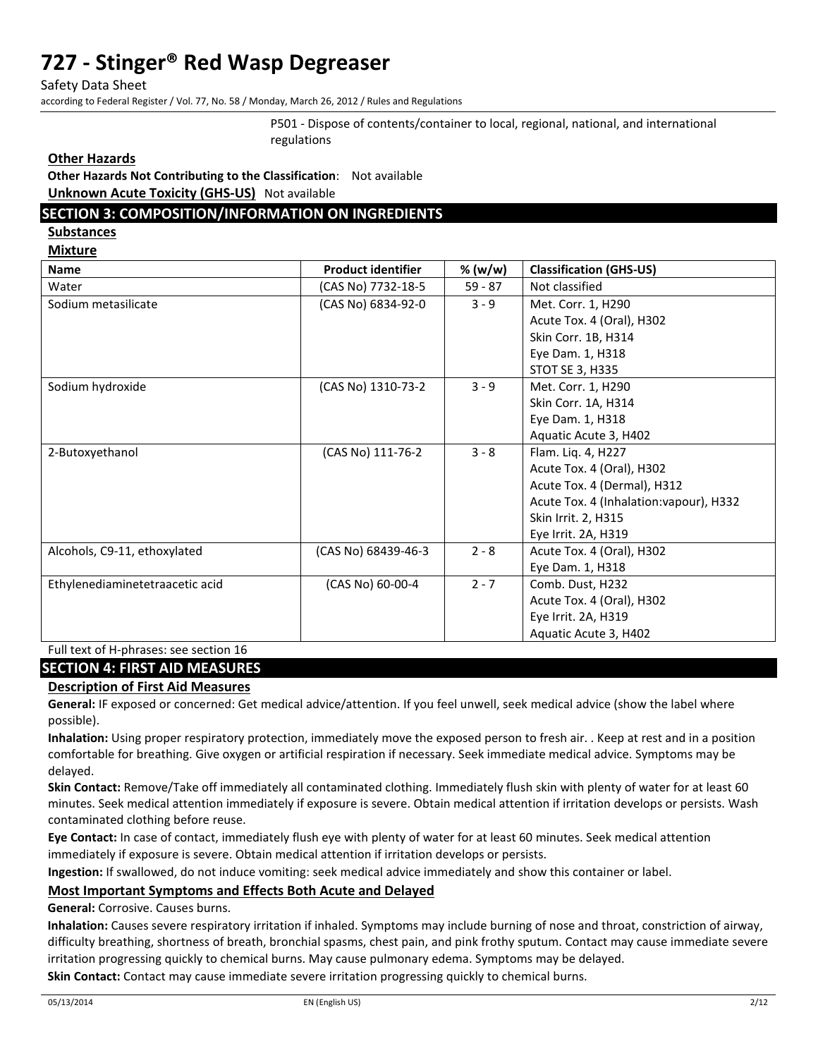Safety Data Sheet

according to Federal Register / Vol. 77, No. 58 / Monday, March 26, 2012 / Rules and Regulations

P501 - Dispose of contents/container to local, regional, national, and international regulations

### **Other Hazards**

**Other Hazards Not Contributing to the Classification**: Not available **Unknown Acute Toxicity (GHS-US)** Not available

### **SECTION 3: COMPOSITION/INFORMATION ON INGREDIENTS**

**Substances** 

**Mixture** 

| <b>Name</b>                     | <b>Product identifier</b> | % (w/w)   | <b>Classification (GHS-US)</b>          |
|---------------------------------|---------------------------|-----------|-----------------------------------------|
| Water                           | (CAS No) 7732-18-5        | $59 - 87$ | Not classified                          |
| Sodium metasilicate             | (CAS No) 6834-92-0        | $3 - 9$   | Met. Corr. 1, H290                      |
|                                 |                           |           | Acute Tox. 4 (Oral), H302               |
|                                 |                           |           | Skin Corr. 1B, H314                     |
|                                 |                           |           | Eye Dam. 1, H318                        |
|                                 |                           |           | STOT SE 3, H335                         |
| Sodium hydroxide                | (CAS No) 1310-73-2        | $3 - 9$   | Met. Corr. 1, H290                      |
|                                 |                           |           | Skin Corr. 1A, H314                     |
|                                 |                           |           | Eye Dam. 1, H318                        |
|                                 |                           |           | Aquatic Acute 3, H402                   |
| 2-Butoxyethanol                 | (CAS No) 111-76-2         | $3 - 8$   | Flam. Liq. 4, H227                      |
|                                 |                           |           | Acute Tox. 4 (Oral), H302               |
|                                 |                           |           | Acute Tox. 4 (Dermal), H312             |
|                                 |                           |           | Acute Tox. 4 (Inhalation: vapour), H332 |
|                                 |                           |           | Skin Irrit. 2, H315                     |
|                                 |                           |           | Eye Irrit. 2A, H319                     |
| Alcohols, C9-11, ethoxylated    | (CAS No) 68439-46-3       | $2 - 8$   | Acute Tox. 4 (Oral), H302               |
|                                 |                           |           | Eye Dam. 1, H318                        |
| Ethylenediaminetetraacetic acid | (CAS No) 60-00-4          | $2 - 7$   | Comb. Dust, H232                        |
|                                 |                           |           | Acute Tox. 4 (Oral), H302               |
|                                 |                           |           | Eye Irrit. 2A, H319                     |
|                                 |                           |           | Aquatic Acute 3, H402                   |

#### Full text of H-phrases: see section 16

### **SECTION 4: FIRST AID MEASURES**

#### **Description of First Aid Measures**

**General:** IF exposed or concerned: Get medical advice/attention. If you feel unwell, seek medical advice (show the label where possible).

**Inhalation:** Using proper respiratory protection, immediately move the exposed person to fresh air. . Keep at rest and in a position comfortable for breathing. Give oxygen or artificial respiration if necessary. Seek immediate medical advice. Symptoms may be delayed.

**Skin Contact:** Remove/Take off immediately all contaminated clothing. Immediately flush skin with plenty of water for at least 60 minutes. Seek medical attention immediately if exposure is severe. Obtain medical attention if irritation develops or persists. Wash contaminated clothing before reuse.

**Eye Contact:** In case of contact, immediately flush eye with plenty of water for at least 60 minutes. Seek medical attention immediately if exposure is severe. Obtain medical attention if irritation develops or persists.

**Ingestion:** If swallowed, do not induce vomiting: seek medical advice immediately and show this container or label.

### **Most Important Symptoms and Effects Both Acute and Delayed**

**General:** Corrosive. Causes burns.

**Inhalation:** Causes severe respiratory irritation if inhaled. Symptoms may include burning of nose and throat, constriction of airway, difficulty breathing, shortness of breath, bronchial spasms, chest pain, and pink frothy sputum. Contact may cause immediate severe irritation progressing quickly to chemical burns. May cause pulmonary edema. Symptoms may be delayed.

**Skin Contact:** Contact may cause immediate severe irritation progressing quickly to chemical burns.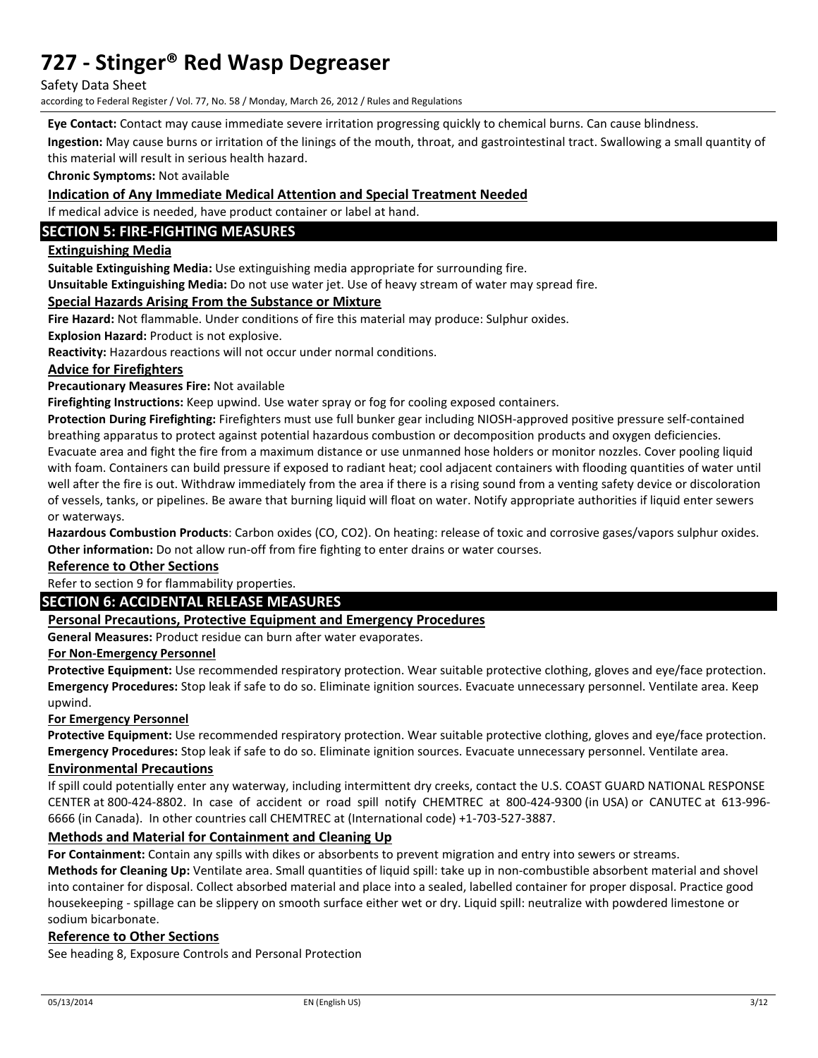Safety Data Sheet

according to Federal Register / Vol. 77, No. 58 / Monday, March 26, 2012 / Rules and Regulations

**Eye Contact:** Contact may cause immediate severe irritation progressing quickly to chemical burns. Can cause blindness.

**Ingestion:** May cause burns or irritation of the linings of the mouth, throat, and gastrointestinal tract. Swallowing a small quantity of this material will result in serious health hazard.

**Chronic Symptoms:** Not available

### **Indication of Any Immediate Medical Attention and Special Treatment Needed**

If medical advice is needed, have product container or label at hand.

### **SECTION 5: FIRE-FIGHTING MEASURES**

### **Extinguishing Media**

**Suitable Extinguishing Media:** Use extinguishing media appropriate for surrounding fire.

**Unsuitable Extinguishing Media:** Do not use water jet. Use of heavy stream of water may spread fire.

### **Special Hazards Arising From the Substance or Mixture**

**Fire Hazard:** Not flammable. Under conditions of fire this material may produce: Sulphur oxides.

**Explosion Hazard:** Product is not explosive.

**Reactivity:** Hazardous reactions will not occur under normal conditions.

### **Advice for Firefighters**

**Precautionary Measures Fire:** Not available

**Firefighting Instructions:** Keep upwind. Use water spray or fog for cooling exposed containers.

**Protection During Firefighting:** Firefighters must use full bunker gear including NIOSH-approved positive pressure self-contained breathing apparatus to protect against potential hazardous combustion or decomposition products and oxygen deficiencies. Evacuate area and fight the fire from a maximum distance or use unmanned hose holders or monitor nozzles. Cover pooling liquid with foam. Containers can build pressure if exposed to radiant heat; cool adjacent containers with flooding quantities of water until well after the fire is out. Withdraw immediately from the area if there is a rising sound from a venting safety device or discoloration of vessels, tanks, or pipelines. Be aware that burning liquid will float on water. Notify appropriate authorities if liquid enter sewers or waterways.

**Hazardous Combustion Products**: Carbon oxides (CO, CO2). On heating: release of toxic and corrosive gases/vapors sulphur oxides. **Other information:** Do not allow run-off from fire fighting to enter drains or water courses.

### **Reference to Other Sections**

### Refer to section 9 for flammability properties.

### **SECTION 6: ACCIDENTAL RELEASE MEASURES**

### **Personal Precautions, Protective Equipment and Emergency Procedures**

**General Measures:** Product residue can burn after water evaporates.

### **For Non-Emergency Personnel**

**Protective Equipment:** Use recommended respiratory protection. Wear suitable protective clothing, gloves and eye/face protection. **Emergency Procedures:** Stop leak if safe to do so. Eliminate ignition sources. Evacuate unnecessary personnel. Ventilate area. Keep upwind.

#### **For Emergency Personnel**

**Protective Equipment:** Use recommended respiratory protection. Wear suitable protective clothing, gloves and eye/face protection. **Emergency Procedures:** Stop leak if safe to do so. Eliminate ignition sources. Evacuate unnecessary personnel. Ventilate area.

#### **Environmental Precautions**

If spill could potentially enter any waterway, including intermittent dry creeks, contact the U.S. COAST GUARD NATIONAL RESPONSE CENTER at 800-424-8802. In case of accident or road spill notify CHEMTREC at 800-424-9300 (in USA) or CANUTEC at 613-996- 6666 (in Canada). In other countries call CHEMTREC at (International code) +1-703-527-3887.

### **Methods and Material for Containment and Cleaning Up**

**For Containment:** Contain any spills with dikes or absorbents to prevent migration and entry into sewers or streams.

**Methods for Cleaning Up:** Ventilate area. Small quantities of liquid spill: take up in non-combustible absorbent material and shovel into container for disposal. Collect absorbed material and place into a sealed, labelled container for proper disposal. Practice good housekeeping - spillage can be slippery on smooth surface either wet or dry. Liquid spill: neutralize with powdered limestone or sodium bicarbonate.

#### **Reference to Other Sections**

See heading 8, Exposure Controls and Personal Protection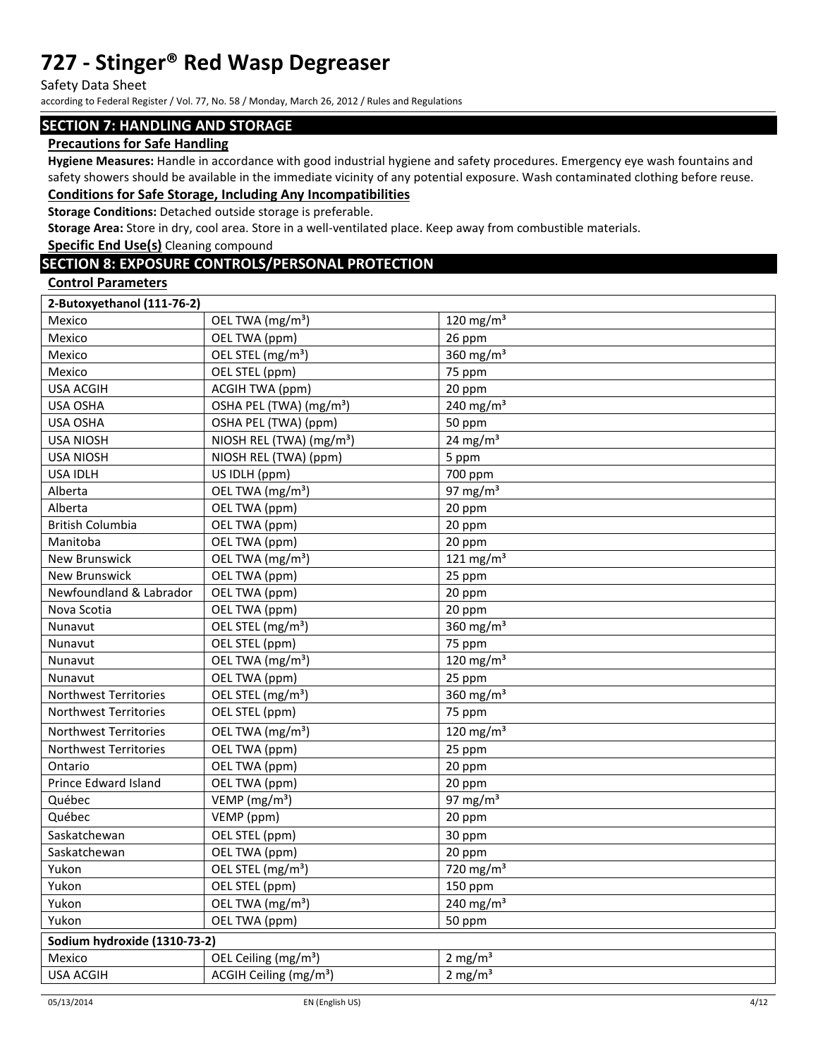Safety Data Sheet

according to Federal Register / Vol. 77, No. 58 / Monday, March 26, 2012 / Rules and Regulations

### **SECTION 7: HANDLING AND STORAGE**

### **Precautions for Safe Handling**

**Hygiene Measures:** Handle in accordance with good industrial hygiene and safety procedures. Emergency eye wash fountains and safety showers should be available in the immediate vicinity of any potential exposure. Wash contaminated clothing before reuse. **Conditions for Safe Storage, Including Any Incompatibilities** 

**Storage Conditions:** Detached outside storage is preferable.

**Storage Area:** Store in dry, cool area. Store in a well-ventilated place. Keep away from combustible materials.

**Specific End Use(s)** Cleaning compound

## **SECTION 8: EXPOSURE CONTROLS/PERSONAL PROTECTION**

### **Control Parameters**

| 2-Butoxyethanol (111-76-2)   |                                      |                                   |
|------------------------------|--------------------------------------|-----------------------------------|
| Mexico                       | OEL TWA (mg/m <sup>3</sup> )         | $120$ mg/m <sup>3</sup>           |
| Mexico                       | OEL TWA (ppm)                        | 26 ppm                            |
| Mexico                       | OEL STEL (mg/m <sup>3</sup> )        | 360 $mg/m3$                       |
| Mexico                       | OEL STEL (ppm)                       | 75 ppm                            |
| <b>USA ACGIH</b>             | ACGIH TWA (ppm)                      | 20 ppm                            |
| USA OSHA                     | OSHA PEL (TWA) (mg/m <sup>3</sup> )  | 240 mg/m <sup>3</sup>             |
| <b>USA OSHA</b>              | OSHA PEL (TWA) (ppm)                 | 50 ppm                            |
| <b>USA NIOSH</b>             | NIOSH REL (TWA) (mg/m <sup>3</sup> ) | 24 mg/m $3$                       |
| <b>USA NIOSH</b>             | NIOSH REL (TWA) (ppm)                | 5 ppm                             |
| <b>USA IDLH</b>              | US IDLH (ppm)                        | 700 ppm                           |
| Alberta                      | OEL TWA (mg/m <sup>3</sup> )         | 97 mg/ $m3$                       |
| Alberta                      | OEL TWA (ppm)                        | 20 ppm                            |
| <b>British Columbia</b>      | OEL TWA (ppm)                        | 20 ppm                            |
| Manitoba                     | OEL TWA (ppm)                        | 20 ppm                            |
| <b>New Brunswick</b>         | OEL TWA (mg/m <sup>3</sup> )         | 121 mg/m $3$                      |
| New Brunswick                | OEL TWA (ppm)                        | 25 ppm                            |
| Newfoundland & Labrador      | OEL TWA (ppm)                        | 20 ppm                            |
| Nova Scotia                  | OEL TWA (ppm)                        | 20 ppm                            |
| Nunavut                      | OEL STEL (mg/m <sup>3</sup> )        | 360 $mg/m3$                       |
| Nunavut                      | OEL STEL (ppm)                       | 75 ppm                            |
| Nunavut                      | OEL TWA (mg/m <sup>3</sup> )         | 120 mg/m $3$                      |
| Nunavut                      | OEL TWA (ppm)                        | 25 ppm                            |
| Northwest Territories        | OEL STEL (mg/m <sup>3</sup> )        | 360 $mg/m3$                       |
| Northwest Territories        | OEL STEL (ppm)                       | 75 ppm                            |
| <b>Northwest Territories</b> | OEL TWA (mg/m <sup>3</sup> )         | 120 mg/m $3$                      |
| Northwest Territories        | OEL TWA (ppm)                        | 25 ppm                            |
| Ontario                      | OEL TWA (ppm)                        | 20 ppm                            |
| Prince Edward Island         | OEL TWA (ppm)                        | 20 ppm                            |
| Québec                       | VEMP (mg/m <sup>3</sup> )            | 97 mg/ $m3$                       |
| Québec                       | VEMP (ppm)                           | 20 ppm                            |
| Saskatchewan                 | OEL STEL (ppm)                       | 30 ppm                            |
| Saskatchewan                 | OEL TWA (ppm)                        | 20 ppm                            |
| Yukon                        | OEL STEL (mg/m <sup>3</sup> )        | $\frac{1}{220}$ mg/m <sup>3</sup> |
| Yukon                        | OEL STEL (ppm)                       | 150 ppm                           |
| Yukon                        | OEL TWA (mg/m <sup>3</sup> )         | 240 mg/m $3$                      |
| Yukon                        | OEL TWA (ppm)                        | 50 ppm                            |
| Sodium hydroxide (1310-73-2) |                                      |                                   |
| Mexico                       | OEL Ceiling (mg/m <sup>3</sup> )     | 2 mg/ $m3$                        |
| <b>USA ACGIH</b>             | ACGIH Ceiling (mg/m <sup>3</sup> )   | $2 \text{ mg/m}^3$                |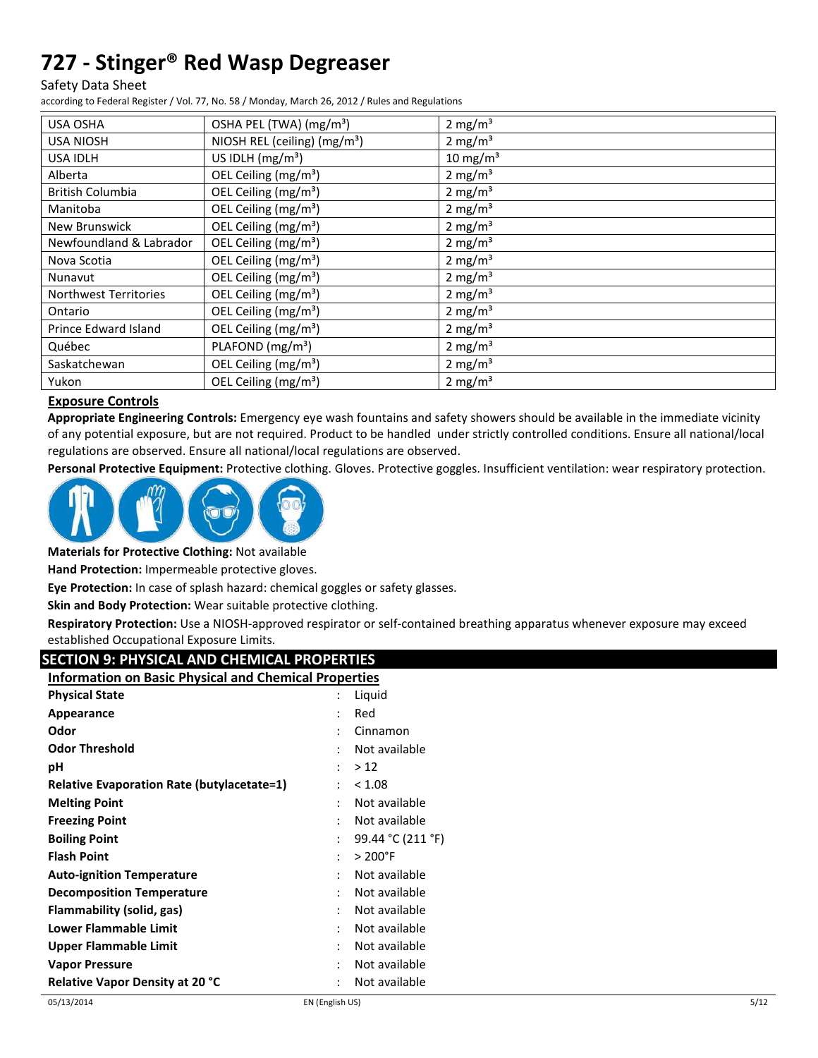#### Safety Data Sheet

according to Federal Register / Vol. 77, No. 58 / Monday, March 26, 2012 / Rules and Regulations

| USA OSHA                     | OSHA PEL (TWA) (mg/m <sup>3</sup> )      | $2 \text{ mg/m}^3$  |
|------------------------------|------------------------------------------|---------------------|
| <b>USA NIOSH</b>             | NIOSH REL (ceiling) (mg/m <sup>3</sup> ) | 2 mg/m <sup>3</sup> |
| <b>USA IDLH</b>              | US IDLH $(mg/m3)$                        | $10 \text{ mg/m}^3$ |
| Alberta                      | OEL Ceiling (mg/m <sup>3</sup> )         | $2 \text{ mg/m}^3$  |
| <b>British Columbia</b>      | OEL Ceiling (mg/m <sup>3</sup> )         | $2 \text{ mg/m}^3$  |
| Manitoba                     | OEL Ceiling (mg/m <sup>3</sup> )         | 2 mg/ $m3$          |
| New Brunswick                | OEL Ceiling (mg/m <sup>3</sup> )         | $2 \text{ mg/m}^3$  |
| Newfoundland & Labrador      | OEL Ceiling (mg/m <sup>3</sup> )         | 2 mg/ $m3$          |
| Nova Scotia                  | OEL Ceiling (mg/m <sup>3</sup> )         | $2 \text{ mg/m}^3$  |
| Nunavut                      | OEL Ceiling (mg/m <sup>3</sup> )         | 2 mg/ $m3$          |
| <b>Northwest Territories</b> | OEL Ceiling (mg/m <sup>3</sup> )         | $2 \text{ mg/m}^3$  |
| Ontario                      | OEL Ceiling (mg/m <sup>3</sup> )         | 2 mg/m <sup>3</sup> |
| Prince Edward Island         | OEL Ceiling (mg/m <sup>3</sup> )         | 2 mg/m <sup>3</sup> |
| Québec                       | PLAFOND (mg/m <sup>3</sup> )             | $2 \text{ mg/m}^3$  |
| Saskatchewan                 | OEL Ceiling $(mg/m3)$                    | 2 mg/m <sup>3</sup> |
| Yukon                        | OEL Ceiling (mg/m <sup>3</sup> )         | 2 mg/m <sup>3</sup> |

### **Exposure Controls**

**Appropriate Engineering Controls:** Emergency eye wash fountains and safety showers should be available in the immediate vicinity of any potential exposure, but are not required. Product to be handled under strictly controlled conditions. Ensure all national/local regulations are observed. Ensure all national/local regulations are observed.

**Personal Protective Equipment:** Protective clothing. Gloves. Protective goggles. Insufficient ventilation: wear respiratory protection.



**Materials for Protective Clothing:** Not available

**Hand Protection:** Impermeable protective gloves.

**Eye Protection:** In case of splash hazard: chemical goggles or safety glasses.

**Skin and Body Protection:** Wear suitable protective clothing.

**Respiratory Protection:** Use a NIOSH-approved respirator or self-contained breathing apparatus whenever exposure may exceed established Occupational Exposure Limits.

### **SECTION 9: PHYSICAL AND CHEMICAL PROPERTIES**

| <b>Information on Basic Physical and Chemical Properties</b> |                      |                   |
|--------------------------------------------------------------|----------------------|-------------------|
| <b>Physical State</b>                                        |                      | Liquid            |
| Appearance                                                   |                      | Red               |
| Odor                                                         |                      | Cinnamon          |
| <b>Odor Threshold</b>                                        |                      | Not available     |
| рH                                                           |                      | >12               |
| <b>Relative Evaporation Rate (butylacetate=1)</b>            | $\ddot{\phantom{0}}$ | < 1.08            |
| <b>Melting Point</b>                                         | ٠                    | Not available     |
| <b>Freezing Point</b>                                        | ٠                    | Not available     |
| <b>Boiling Point</b>                                         | $\ddot{\phantom{0}}$ | 99.44 °C (211 °F) |
| <b>Flash Point</b>                                           | $\ddot{\phantom{0}}$ | $>200^{\circ}$ F  |
| <b>Auto-ignition Temperature</b>                             |                      | Not available     |
| <b>Decomposition Temperature</b>                             |                      | Not available     |
| Flammability (solid, gas)                                    | ٠                    | Not available     |
| Lower Flammable Limit                                        | ٠                    | Not available     |
| Upper Flammable Limit                                        | ٠                    | Not available     |
| <b>Vapor Pressure</b>                                        |                      | Not available     |
| <b>Relative Vapor Density at 20 °C</b>                       |                      | Not available     |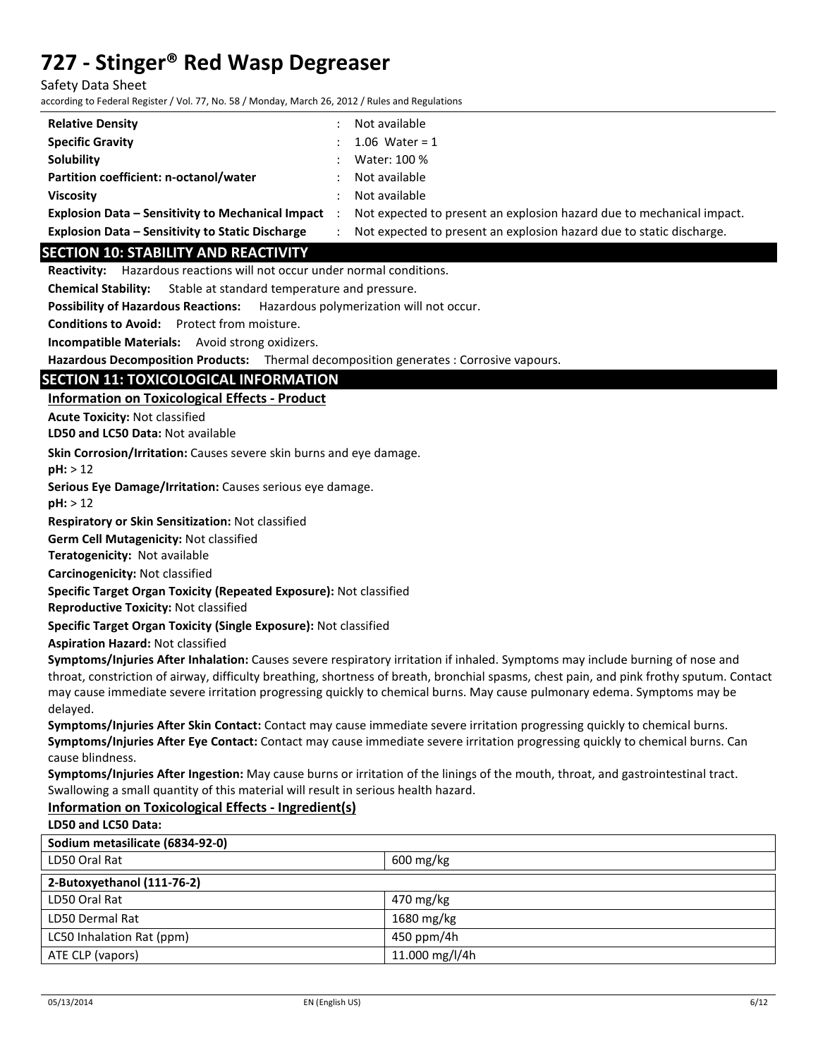Safety Data Sheet

according to Federal Register / Vol. 77, No. 58 / Monday, March 26, 2012 / Rules and Regulations

| <b>Relative Density</b>                                  | Not available                                                         |
|----------------------------------------------------------|-----------------------------------------------------------------------|
| <b>Specific Gravity</b>                                  | 1.06 Water = $1$                                                      |
| <b>Solubility</b>                                        | Water: 100 %                                                          |
| Partition coefficient: n-octanol/water                   | Not available                                                         |
| <b>Viscosity</b>                                         | Not available                                                         |
| <b>Explosion Data - Sensitivity to Mechanical Impact</b> | Not expected to present an explosion hazard due to mechanical impact. |
| <b>Explosion Data - Sensitivity to Static Discharge</b>  | Not expected to present an explosion hazard due to static discharge.  |

### **SECTION 10: STABILITY AND REACTIVITY**

**Reactivity:** Hazardous reactions will not occur under normal conditions.

**Chemical Stability:** Stable at standard temperature and pressure.

**Possibility of Hazardous Reactions:** Hazardous polymerization will not occur.

**Conditions to Avoid:** Protect from moisture.

**Incompatible Materials:** Avoid strong oxidizers.

**Hazardous Decomposition Products:** Thermal decomposition generates : Corrosive vapours.

## **SECTION 11: TOXICOLOGICAL INFORMATION**

**Information on Toxicological Effects - Product** 

**Acute Toxicity:** Not classified

**LD50 and LC50 Data:** Not available

**Skin Corrosion/Irritation:** Causes severe skin burns and eye damage.

**pH:** > 12

**Serious Eye Damage/Irritation:** Causes serious eye damage.

**pH:** > 12

**Respiratory or Skin Sensitization:** Not classified

**Germ Cell Mutagenicity:** Not classified

**Teratogenicity:** Not available

**Carcinogenicity:** Not classified

**Specific Target Organ Toxicity (Repeated Exposure):** Not classified

**Reproductive Toxicity:** Not classified

**Specific Target Organ Toxicity (Single Exposure):** Not classified

**Aspiration Hazard:** Not classified

**Symptoms/Injuries After Inhalation:** Causes severe respiratory irritation if inhaled. Symptoms may include burning of nose and throat, constriction of airway, difficulty breathing, shortness of breath, bronchial spasms, chest pain, and pink frothy sputum. Contact may cause immediate severe irritation progressing quickly to chemical burns. May cause pulmonary edema. Symptoms may be delayed.

**Symptoms/Injuries After Skin Contact:** Contact may cause immediate severe irritation progressing quickly to chemical burns. **Symptoms/Injuries After Eye Contact:** Contact may cause immediate severe irritation progressing quickly to chemical burns. Can cause blindness.

**Symptoms/Injuries After Ingestion:** May cause burns or irritation of the linings of the mouth, throat, and gastrointestinal tract. Swallowing a small quantity of this material will result in serious health hazard.

### **Information on Toxicological Effects - Ingredient(s) LD50 and LC50 Data:**

| Sodium metasilicate (6834-92-0) |                        |  |
|---------------------------------|------------------------|--|
| LD50 Oral Rat                   | $600 \,\mathrm{mg/kg}$ |  |
| 2-Butoxyethanol (111-76-2)      |                        |  |
| LD50 Oral Rat                   | 470 mg/kg              |  |
| LD50 Dermal Rat                 | 1680 mg/kg             |  |
| LC50 Inhalation Rat (ppm)       | 450 ppm/4h             |  |
| ATE CLP (vapors)                | 11.000 mg/l/4h         |  |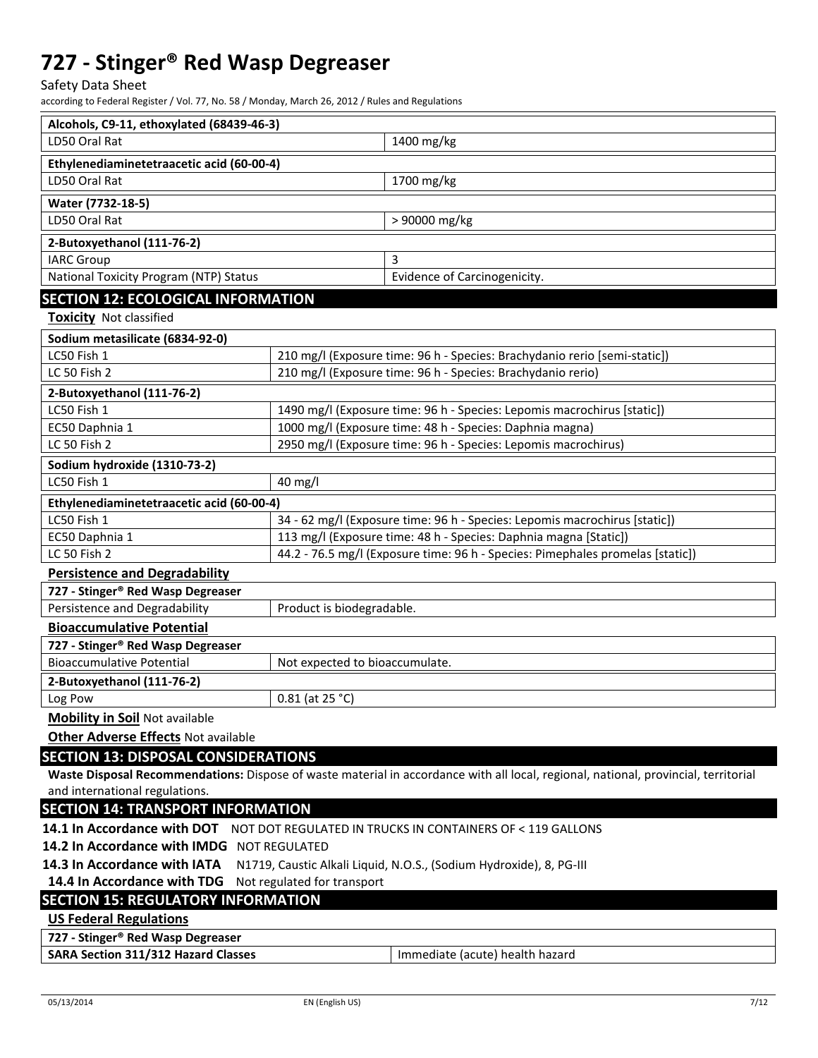Safety Data Sheet

according to Federal Register / Vol. 77, No. 58 / Monday, March 26, 2012 / Rules and Regulations

| Alcohols, C9-11, ethoxylated (68439-46-3)                                                                                                                             |                                           |                                                                            |  |  |  |
|-----------------------------------------------------------------------------------------------------------------------------------------------------------------------|-------------------------------------------|----------------------------------------------------------------------------|--|--|--|
| LD50 Oral Rat                                                                                                                                                         |                                           | 1400 mg/kg                                                                 |  |  |  |
| Ethylenediaminetetraacetic acid (60-00-4)                                                                                                                             |                                           |                                                                            |  |  |  |
| LD50 Oral Rat                                                                                                                                                         |                                           | 1700 mg/kg                                                                 |  |  |  |
| Water (7732-18-5)                                                                                                                                                     |                                           |                                                                            |  |  |  |
| LD50 Oral Rat                                                                                                                                                         |                                           | > 90000 mg/kg                                                              |  |  |  |
| 2-Butoxyethanol (111-76-2)                                                                                                                                            |                                           |                                                                            |  |  |  |
| <b>IARC Group</b>                                                                                                                                                     |                                           | 3                                                                          |  |  |  |
| National Toxicity Program (NTP) Status                                                                                                                                |                                           | Evidence of Carcinogenicity.                                               |  |  |  |
| <b>SECTION 12: ECOLOGICAL INFORMATION</b>                                                                                                                             |                                           |                                                                            |  |  |  |
| <b>Toxicity Not classified</b>                                                                                                                                        |                                           |                                                                            |  |  |  |
| Sodium metasilicate (6834-92-0)                                                                                                                                       |                                           |                                                                            |  |  |  |
| LC50 Fish 1                                                                                                                                                           |                                           | 210 mg/l (Exposure time: 96 h - Species: Brachydanio rerio [semi-static])  |  |  |  |
| LC 50 Fish 2                                                                                                                                                          |                                           | 210 mg/l (Exposure time: 96 h - Species: Brachydanio rerio)                |  |  |  |
| 2-Butoxyethanol (111-76-2)                                                                                                                                            |                                           |                                                                            |  |  |  |
| LC50 Fish 1                                                                                                                                                           |                                           | 1490 mg/l (Exposure time: 96 h - Species: Lepomis macrochirus [static])    |  |  |  |
| EC50 Daphnia 1                                                                                                                                                        |                                           | 1000 mg/l (Exposure time: 48 h - Species: Daphnia magna)                   |  |  |  |
| LC 50 Fish 2                                                                                                                                                          |                                           | 2950 mg/l (Exposure time: 96 h - Species: Lepomis macrochirus)             |  |  |  |
| Sodium hydroxide (1310-73-2)                                                                                                                                          |                                           |                                                                            |  |  |  |
| LC50 Fish 1                                                                                                                                                           | 40 mg/l                                   |                                                                            |  |  |  |
| Ethylenediaminetetraacetic acid (60-00-4)                                                                                                                             |                                           |                                                                            |  |  |  |
| LC50 Fish 1                                                                                                                                                           |                                           | 34 - 62 mg/l (Exposure time: 96 h - Species: Lepomis macrochirus [static]) |  |  |  |
| EC50 Daphnia 1                                                                                                                                                        |                                           | 113 mg/l (Exposure time: 48 h - Species: Daphnia magna [Static])           |  |  |  |
| 44.2 - 76.5 mg/l (Exposure time: 96 h - Species: Pimephales promelas [static])<br>LC 50 Fish 2                                                                        |                                           |                                                                            |  |  |  |
| <b>Persistence and Degradability</b>                                                                                                                                  |                                           |                                                                            |  |  |  |
| 727 - Stinger® Red Wasp Degreaser                                                                                                                                     |                                           |                                                                            |  |  |  |
| Persistence and Degradability                                                                                                                                         | Product is biodegradable.                 |                                                                            |  |  |  |
| <b>Bioaccumulative Potential</b>                                                                                                                                      |                                           |                                                                            |  |  |  |
| 727 - Stinger® Red Wasp Degreaser<br><b>Bioaccumulative Potential</b>                                                                                                 | Not expected to bioaccumulate.            |                                                                            |  |  |  |
| 2-Butoxyethanol (111-76-2)                                                                                                                                            |                                           |                                                                            |  |  |  |
| Log Pow                                                                                                                                                               | $0.81$ (at 25 °C)                         |                                                                            |  |  |  |
| <b>Mobility in Soil Not available</b>                                                                                                                                 |                                           |                                                                            |  |  |  |
| <b>Other Adverse Effects Not available</b>                                                                                                                            |                                           |                                                                            |  |  |  |
| <b>SECTION 13: DISPOSAL CONSIDERATIONS</b>                                                                                                                            |                                           |                                                                            |  |  |  |
|                                                                                                                                                                       |                                           |                                                                            |  |  |  |
| Waste Disposal Recommendations: Dispose of waste material in accordance with all local, regional, national, provincial, territorial<br>and international regulations. |                                           |                                                                            |  |  |  |
| <b>SECTION 14: TRANSPORT INFORMATION</b>                                                                                                                              |                                           |                                                                            |  |  |  |
| 14.1 In Accordance with DOT<br>NOT DOT REGULATED IN TRUCKS IN CONTAINERS OF < 119 GALLONS                                                                             |                                           |                                                                            |  |  |  |
| 14.2 In Accordance with IMDG NOT REGULATED                                                                                                                            |                                           |                                                                            |  |  |  |
| 14.3 In Accordance with IATA<br>N1719, Caustic Alkali Liquid, N.O.S., (Sodium Hydroxide), 8, PG-III                                                                   |                                           |                                                                            |  |  |  |
| 14.4 In Accordance with TDG<br>Not regulated for transport                                                                                                            |                                           |                                                                            |  |  |  |
|                                                                                                                                                                       | <b>SECTION 15: REGULATORY INFORMATION</b> |                                                                            |  |  |  |
| <b>US Federal Regulations</b>                                                                                                                                         |                                           |                                                                            |  |  |  |
| 727 - Stinger® Red Wasp Degreaser                                                                                                                                     |                                           |                                                                            |  |  |  |
| <b>SARA Section 311/312 Hazard Classes</b>                                                                                                                            |                                           | Immediate (acute) health hazard                                            |  |  |  |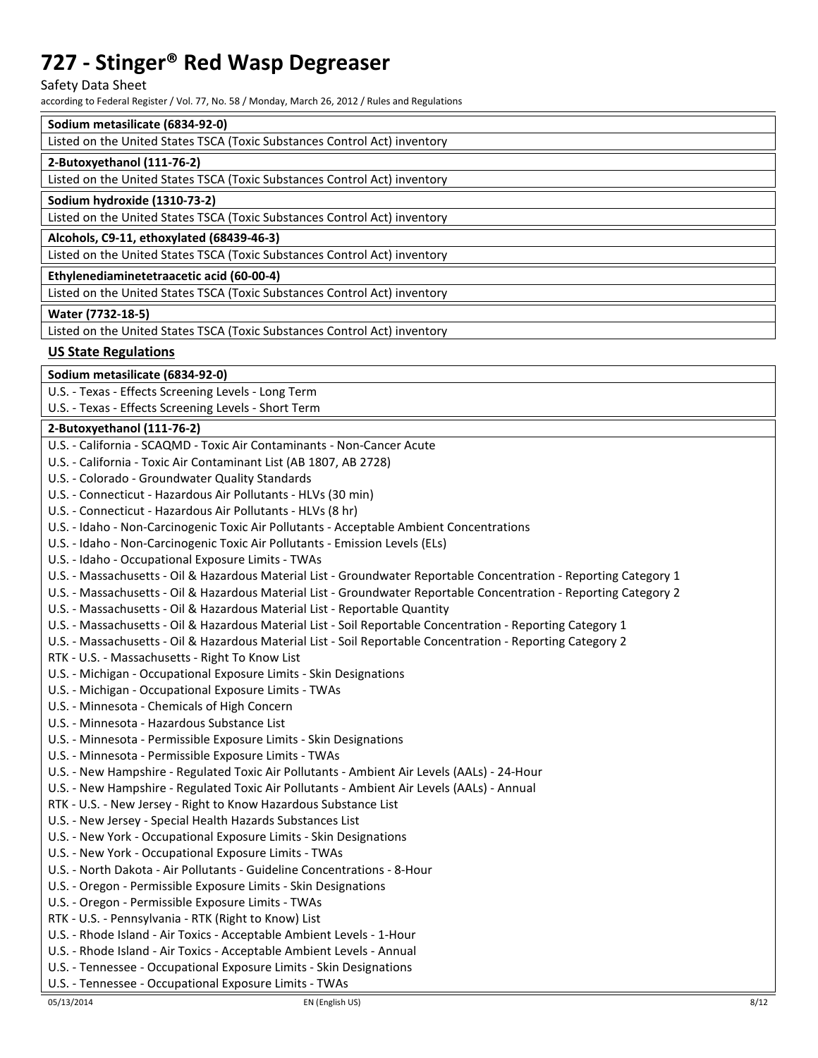Safety Data Sheet

according to Federal Register / Vol. 77, No. 58 / Monday, March 26, 2012 / Rules and Regulations

# **Sodium metasilicate (6834-92-0)**

| Soulum metasilicate (6654-92-0)                                           |
|---------------------------------------------------------------------------|
| Listed on the United States TSCA (Toxic Substances Control Act) inventory |
| 2-Butoxyethanol (111-76-2)                                                |
| Listed on the United States TSCA (Toxic Substances Control Act) inventory |
| Sodium hydroxide (1310-73-2)                                              |
| Listed on the United States TSCA (Toxic Substances Control Act) inventory |
| Alcohols, C9-11, ethoxylated (68439-46-3)                                 |
| Listed on the United States TSCA (Toxic Substances Control Act) inventory |
| Ethylenediaminetetraacetic acid (60-00-4)                                 |
| Listed on the United States TSCA (Toxic Substances Control Act) inventory |
| Water (7732-18-5)                                                         |
| Listed on the United States TSCA (Toxic Substances Control Act) inventory |
|                                                                           |

### **US State Regulations**

**Sodium metasilicate (6834-92-0)** 

U.S. - Texas - Effects Screening Levels - Long Term

U.S. - Texas - Effects Screening Levels - Short Term

### **2-Butoxyethanol (111-76-2)**

| U.S. - California - SCAQMD - Toxic Air Contaminants - Non-Cancer Acute                                             |
|--------------------------------------------------------------------------------------------------------------------|
| U.S. - California - Toxic Air Contaminant List (AB 1807, AB 2728)                                                  |
| U.S. - Colorado - Groundwater Quality Standards                                                                    |
| U.S. - Connecticut - Hazardous Air Pollutants - HLVs (30 min)                                                      |
| U.S. - Connecticut - Hazardous Air Pollutants - HLVs (8 hr)                                                        |
| U.S. - Idaho - Non-Carcinogenic Toxic Air Pollutants - Acceptable Ambient Concentrations                           |
| U.S. - Idaho - Non-Carcinogenic Toxic Air Pollutants - Emission Levels (ELs)                                       |
| U.S. - Idaho - Occupational Exposure Limits - TWAs                                                                 |
| U.S. - Massachusetts - Oil & Hazardous Material List - Groundwater Reportable Concentration - Reporting Category 1 |
| U.S. - Massachusetts - Oil & Hazardous Material List - Groundwater Reportable Concentration - Reporting Category 2 |
| U.S. - Massachusetts - Oil & Hazardous Material List - Reportable Quantity                                         |
| U.S. - Massachusetts - Oil & Hazardous Material List - Soil Reportable Concentration - Reporting Category 1        |
| U.S. - Massachusetts - Oil & Hazardous Material List - Soil Reportable Concentration - Reporting Category 2        |
| RTK - U.S. - Massachusetts - Right To Know List                                                                    |
| U.S. - Michigan - Occupational Exposure Limits - Skin Designations                                                 |
| U.S. - Michigan - Occupational Exposure Limits - TWAs                                                              |
| U.S. - Minnesota - Chemicals of High Concern                                                                       |
| U.S. - Minnesota - Hazardous Substance List                                                                        |
| U.S. - Minnesota - Permissible Exposure Limits - Skin Designations                                                 |
| U.S. - Minnesota - Permissible Exposure Limits - TWAs                                                              |
| U.S. - New Hampshire - Regulated Toxic Air Pollutants - Ambient Air Levels (AALs) - 24-Hour                        |
| U.S. - New Hampshire - Regulated Toxic Air Pollutants - Ambient Air Levels (AALs) - Annual                         |
| RTK - U.S. - New Jersey - Right to Know Hazardous Substance List                                                   |
| U.S. - New Jersey - Special Health Hazards Substances List                                                         |
| U.S. - New York - Occupational Exposure Limits - Skin Designations                                                 |
| U.S. - New York - Occupational Exposure Limits - TWAs                                                              |
| U.S. - North Dakota - Air Pollutants - Guideline Concentrations - 8-Hour                                           |
| U.S. - Oregon - Permissible Exposure Limits - Skin Designations                                                    |
| U.S. - Oregon - Permissible Exposure Limits - TWAs                                                                 |
| RTK - U.S. - Pennsylvania - RTK (Right to Know) List                                                               |
| U.S. - Rhode Island - Air Toxics - Acceptable Ambient Levels - 1-Hour                                              |
| U.S. - Rhode Island - Air Toxics - Acceptable Ambient Levels - Annual                                              |
| U.S. - Tennessee - Occupational Exposure Limits - Skin Designations                                                |
| U.S. - Tennessee - Occupational Exposure Limits - TWAs                                                             |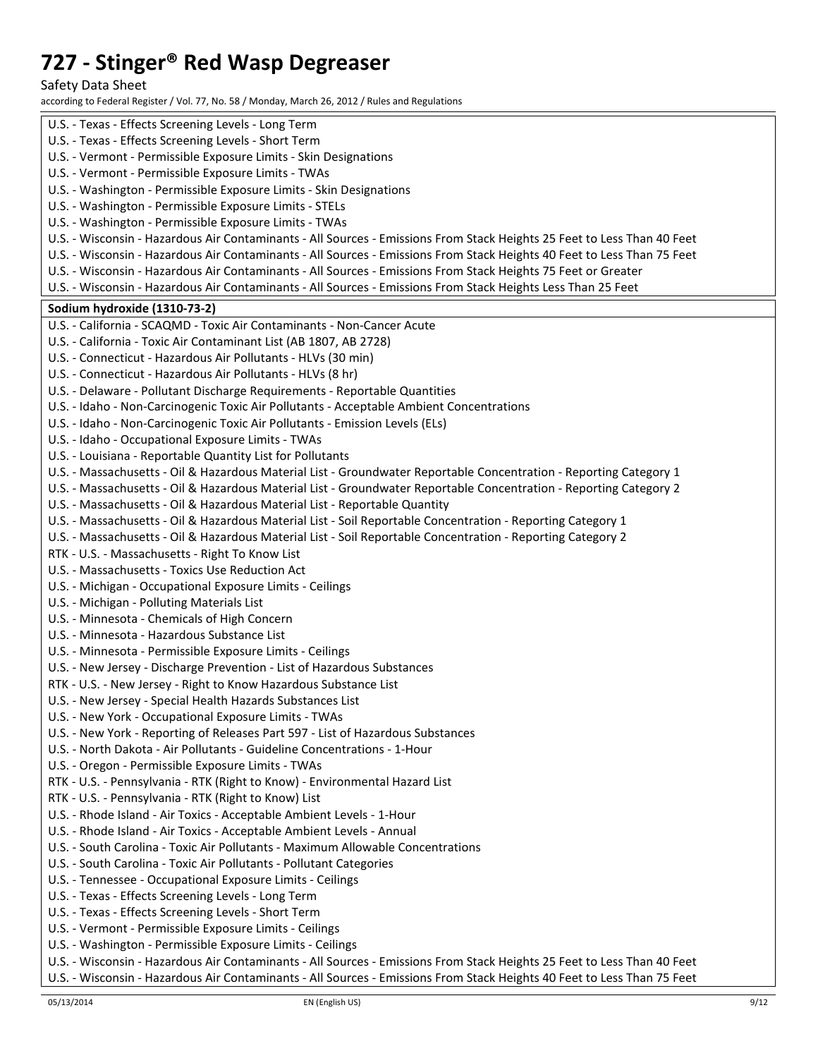Safety Data Sheet

according to Federal Register / Vol. 77, No. 58 / Monday, March 26, 2012 / Rules and Regulations

| U.S. - Texas - Effects Screening Levels - Long Term                                                                     |
|-------------------------------------------------------------------------------------------------------------------------|
| U.S. - Texas - Effects Screening Levels - Short Term                                                                    |
| U.S. - Vermont - Permissible Exposure Limits - Skin Designations                                                        |
| U.S. - Vermont - Permissible Exposure Limits - TWAs                                                                     |
| U.S. - Washington - Permissible Exposure Limits - Skin Designations                                                     |
| U.S. - Washington - Permissible Exposure Limits - STELs                                                                 |
| U.S. - Washington - Permissible Exposure Limits - TWAs                                                                  |
| U.S. - Wisconsin - Hazardous Air Contaminants - All Sources - Emissions From Stack Heights 25 Feet to Less Than 40 Feet |
| U.S. - Wisconsin - Hazardous Air Contaminants - All Sources - Emissions From Stack Heights 40 Feet to Less Than 75 Feet |
| U.S. - Wisconsin - Hazardous Air Contaminants - All Sources - Emissions From Stack Heights 75 Feet or Greater           |
| U.S. - Wisconsin - Hazardous Air Contaminants - All Sources - Emissions From Stack Heights Less Than 25 Feet            |
| Sodium hydroxide (1310-73-2)                                                                                            |
| U.S. - California - SCAQMD - Toxic Air Contaminants - Non-Cancer Acute                                                  |
| U.S. - California - Toxic Air Contaminant List (AB 1807, AB 2728)                                                       |
| U.S. - Connecticut - Hazardous Air Pollutants - HLVs (30 min)                                                           |
| U.S. - Connecticut - Hazardous Air Pollutants - HLVs (8 hr)                                                             |
| U.S. - Delaware - Pollutant Discharge Requirements - Reportable Quantities                                              |
| U.S. - Idaho - Non-Carcinogenic Toxic Air Pollutants - Acceptable Ambient Concentrations                                |
|                                                                                                                         |
| U.S. - Idaho - Non-Carcinogenic Toxic Air Pollutants - Emission Levels (ELs)                                            |
| U.S. - Idaho - Occupational Exposure Limits - TWAs                                                                      |
| U.S. - Louisiana - Reportable Quantity List for Pollutants                                                              |
| U.S. - Massachusetts - Oil & Hazardous Material List - Groundwater Reportable Concentration - Reporting Category 1      |
| U.S. - Massachusetts - Oil & Hazardous Material List - Groundwater Reportable Concentration - Reporting Category 2      |
| U.S. - Massachusetts - Oil & Hazardous Material List - Reportable Quantity                                              |
| U.S. - Massachusetts - Oil & Hazardous Material List - Soil Reportable Concentration - Reporting Category 1             |
| U.S. - Massachusetts - Oil & Hazardous Material List - Soil Reportable Concentration - Reporting Category 2             |
| RTK - U.S. - Massachusetts - Right To Know List                                                                         |
| U.S. - Massachusetts - Toxics Use Reduction Act                                                                         |
| U.S. - Michigan - Occupational Exposure Limits - Ceilings                                                               |
| U.S. - Michigan - Polluting Materials List                                                                              |
| U.S. - Minnesota - Chemicals of High Concern                                                                            |
| U.S. - Minnesota - Hazardous Substance List                                                                             |
| U.S. - Minnesota - Permissible Exposure Limits - Ceilings                                                               |
| U.S. - New Jersey - Discharge Prevention - List of Hazardous Substances                                                 |
| RTK - U.S. - New Jersey - Right to Know Hazardous Substance List                                                        |
| U.S. - New Jersey - Special Health Hazards Substances List                                                              |
| U.S. - New York - Occupational Exposure Limits - TWAs                                                                   |
| U.S. - New York - Reporting of Releases Part 597 - List of Hazardous Substances                                         |
| U.S. - North Dakota - Air Pollutants - Guideline Concentrations - 1-Hour                                                |
| U.S. - Oregon - Permissible Exposure Limits - TWAs                                                                      |
| RTK - U.S. - Pennsylvania - RTK (Right to Know) - Environmental Hazard List                                             |
| RTK - U.S. - Pennsylvania - RTK (Right to Know) List                                                                    |
| U.S. - Rhode Island - Air Toxics - Acceptable Ambient Levels - 1-Hour                                                   |
| U.S. - Rhode Island - Air Toxics - Acceptable Ambient Levels - Annual                                                   |
| U.S. - South Carolina - Toxic Air Pollutants - Maximum Allowable Concentrations                                         |
| U.S. - South Carolina - Toxic Air Pollutants - Pollutant Categories                                                     |
| U.S. - Tennessee - Occupational Exposure Limits - Ceilings                                                              |
| U.S. - Texas - Effects Screening Levels - Long Term                                                                     |
| U.S. - Texas - Effects Screening Levels - Short Term                                                                    |
| U.S. - Vermont - Permissible Exposure Limits - Ceilings                                                                 |
| U.S. - Washington - Permissible Exposure Limits - Ceilings                                                              |
| U.S. - Wisconsin - Hazardous Air Contaminants - All Sources - Emissions From Stack Heights 25 Feet to Less Than 40 Feet |
| U.S. - Wisconsin - Hazardous Air Contaminants - All Sources - Emissions From Stack Heights 40 Feet to Less Than 75 Feet |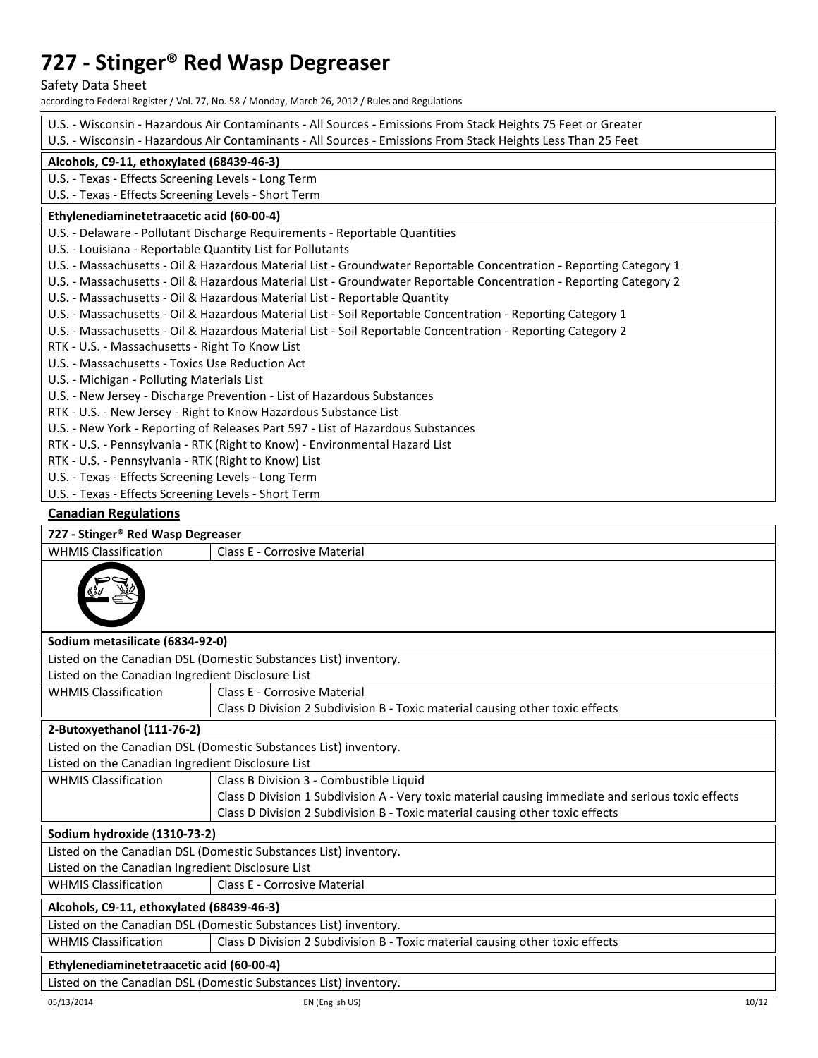Safety Data Sheet

according to Federal Register / Vol. 77, No. 58 / Monday, March 26, 2012 / Rules and Regulations

| U.S. - Wisconsin - Hazardous Air Contaminants - All Sources - Emissions From Stack Heights 75 Feet or Greater |                                                                                                                    |  |  |  |  |  |
|---------------------------------------------------------------------------------------------------------------|--------------------------------------------------------------------------------------------------------------------|--|--|--|--|--|
| U.S. - Wisconsin - Hazardous Air Contaminants - All Sources - Emissions From Stack Heights Less Than 25 Feet  |                                                                                                                    |  |  |  |  |  |
| Alcohols, C9-11, ethoxylated (68439-46-3)                                                                     |                                                                                                                    |  |  |  |  |  |
|                                                                                                               | U.S. - Texas - Effects Screening Levels - Long Term                                                                |  |  |  |  |  |
| U.S. - Texas - Effects Screening Levels - Short Term                                                          |                                                                                                                    |  |  |  |  |  |
|                                                                                                               | Ethylenediaminetetraacetic acid (60-00-4)                                                                          |  |  |  |  |  |
|                                                                                                               | U.S. - Delaware - Pollutant Discharge Requirements - Reportable Quantities                                         |  |  |  |  |  |
| U.S. - Louisiana - Reportable Quantity List for Pollutants                                                    |                                                                                                                    |  |  |  |  |  |
|                                                                                                               | U.S. - Massachusetts - Oil & Hazardous Material List - Groundwater Reportable Concentration - Reporting Category 1 |  |  |  |  |  |
|                                                                                                               | U.S. - Massachusetts - Oil & Hazardous Material List - Groundwater Reportable Concentration - Reporting Category 2 |  |  |  |  |  |
|                                                                                                               | U.S. - Massachusetts - Oil & Hazardous Material List - Reportable Quantity                                         |  |  |  |  |  |
|                                                                                                               | U.S. - Massachusetts - Oil & Hazardous Material List - Soil Reportable Concentration - Reporting Category 1        |  |  |  |  |  |
|                                                                                                               | U.S. - Massachusetts - Oil & Hazardous Material List - Soil Reportable Concentration - Reporting Category 2        |  |  |  |  |  |
| RTK - U.S. - Massachusetts - Right To Know List                                                               |                                                                                                                    |  |  |  |  |  |
| U.S. - Massachusetts - Toxics Use Reduction Act                                                               |                                                                                                                    |  |  |  |  |  |
| U.S. - Michigan - Polluting Materials List                                                                    |                                                                                                                    |  |  |  |  |  |
|                                                                                                               | U.S. - New Jersey - Discharge Prevention - List of Hazardous Substances                                            |  |  |  |  |  |
|                                                                                                               | RTK - U.S. - New Jersey - Right to Know Hazardous Substance List                                                   |  |  |  |  |  |
|                                                                                                               | U.S. - New York - Reporting of Releases Part 597 - List of Hazardous Substances                                    |  |  |  |  |  |
|                                                                                                               | RTK - U.S. - Pennsylvania - RTK (Right to Know) - Environmental Hazard List                                        |  |  |  |  |  |
| RTK - U.S. - Pennsylvania - RTK (Right to Know) List                                                          |                                                                                                                    |  |  |  |  |  |
| U.S. - Texas - Effects Screening Levels - Long Term                                                           |                                                                                                                    |  |  |  |  |  |
| U.S. - Texas - Effects Screening Levels - Short Term                                                          |                                                                                                                    |  |  |  |  |  |
| <b>Canadian Regulations</b>                                                                                   |                                                                                                                    |  |  |  |  |  |
| 727 - Stinger® Red Wasp Degreaser                                                                             |                                                                                                                    |  |  |  |  |  |
| <b>WHMIS Classification</b>                                                                                   | Class E - Corrosive Material                                                                                       |  |  |  |  |  |
|                                                                                                               |                                                                                                                    |  |  |  |  |  |
| Sodium metasilicate (6834-92-0)                                                                               |                                                                                                                    |  |  |  |  |  |
|                                                                                                               | Listed on the Canadian DSL (Domestic Substances List) inventory.                                                   |  |  |  |  |  |
| Listed on the Canadian Ingredient Disclosure List                                                             |                                                                                                                    |  |  |  |  |  |
| <b>WHMIS Classification</b>                                                                                   | Class E - Corrosive Material                                                                                       |  |  |  |  |  |
|                                                                                                               | Class D Division 2 Subdivision B - Toxic material causing other toxic effects                                      |  |  |  |  |  |
| 2-Butoxyethanol (111-76-2)                                                                                    |                                                                                                                    |  |  |  |  |  |
|                                                                                                               | Listed on the Canadian DSL (Domestic Substances List) inventory.                                                   |  |  |  |  |  |
| Listed on the Canadian Ingredient Disclosure List                                                             |                                                                                                                    |  |  |  |  |  |
| <b>WHMIS Classification</b>                                                                                   | Class B Division 3 - Combustible Liquid                                                                            |  |  |  |  |  |
|                                                                                                               | Class D Division 1 Subdivision A - Very toxic material causing immediate and serious toxic effects                 |  |  |  |  |  |
|                                                                                                               | Class D Division 2 Subdivision B - Toxic material causing other toxic effects                                      |  |  |  |  |  |
| Sodium hydroxide (1310-73-2)                                                                                  |                                                                                                                    |  |  |  |  |  |
| Listed on the Canadian DSL (Domestic Substances List) inventory.                                              |                                                                                                                    |  |  |  |  |  |
| Listed on the Canadian Ingredient Disclosure List                                                             |                                                                                                                    |  |  |  |  |  |
| <b>WHMIS Classification</b>                                                                                   | Class E - Corrosive Material                                                                                       |  |  |  |  |  |
|                                                                                                               |                                                                                                                    |  |  |  |  |  |
| Alcohols, C9-11, ethoxylated (68439-46-3)                                                                     |                                                                                                                    |  |  |  |  |  |
|                                                                                                               | Listed on the Canadian DSL (Domestic Substances List) inventory.                                                   |  |  |  |  |  |
| <b>WHMIS Classification</b><br>Class D Division 2 Subdivision B - Toxic material causing other toxic effects  |                                                                                                                    |  |  |  |  |  |
| Ethylenediaminetetraacetic acid (60-00-4)                                                                     |                                                                                                                    |  |  |  |  |  |
| Listed on the Canadian DSL (Domestic Substances List) inventory.                                              |                                                                                                                    |  |  |  |  |  |
| 05/13/2014                                                                                                    | EN (English US)<br>10/12                                                                                           |  |  |  |  |  |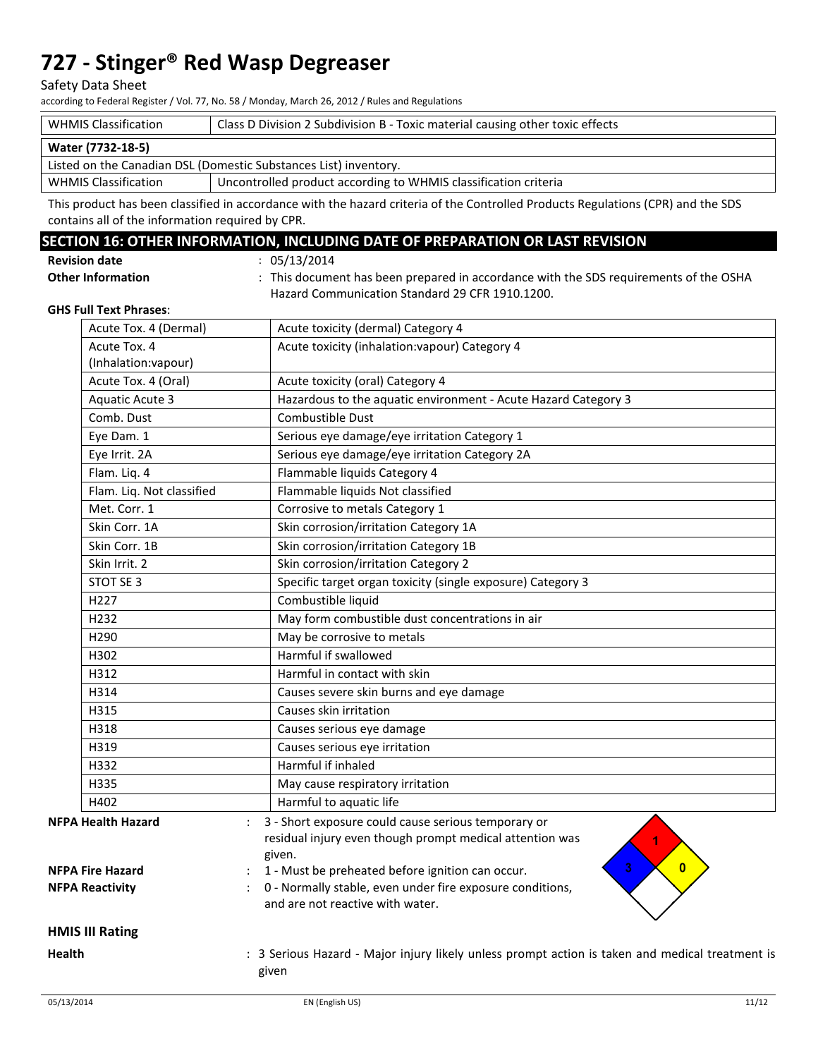#### Safety Data Sheet

according to Federal Register / Vol. 77, No. 58 / Monday, March 26, 2012 / Rules and Regulations

| <b>WHMIS Classification</b>                                      | Class D Division 2 Subdivision B - Toxic material causing other toxic effects |  |
|------------------------------------------------------------------|-------------------------------------------------------------------------------|--|
| Water (7732-18-5)                                                |                                                                               |  |
| Listed on the Canadian DSL (Domestic Substances List) inventory. |                                                                               |  |
| <b>WHMIS Classification</b>                                      | Uncontrolled product according to WHMIS classification criteria               |  |

This product has been classified in accordance with the hazard criteria of the Controlled Products Regulations (CPR) and the SDS contains all of the information required by CPR.

### **SECTION 16: OTHER INFORMATION, INCLUDING DATE OF PREPARATION OR LAST REVISION**

| <b>Revision date</b> |  |
|----------------------|--|
|----------------------|--|

**Revision date** : 05/13/2014 **Other Information <b>Information** : This document has been prepared in accordance with the SDS requirements of the OSHA Hazard Communication Standard 29 CFR 1910.1200.

#### **GHS Full Text Phrases**:

|               | Acute Tox. 4 (Dermal)     | Acute toxicity (dermal) Category 4                                                                                        |
|---------------|---------------------------|---------------------------------------------------------------------------------------------------------------------------|
|               | Acute Tox. 4              | Acute toxicity (inhalation: vapour) Category 4                                                                            |
|               | (Inhalation:vapour)       |                                                                                                                           |
|               | Acute Tox. 4 (Oral)       | Acute toxicity (oral) Category 4                                                                                          |
|               | <b>Aquatic Acute 3</b>    | Hazardous to the aquatic environment - Acute Hazard Category 3                                                            |
|               | Comb. Dust                | Combustible Dust                                                                                                          |
|               | Eye Dam. 1                | Serious eye damage/eye irritation Category 1                                                                              |
|               | Eye Irrit. 2A             | Serious eye damage/eye irritation Category 2A                                                                             |
|               | Flam. Liq. 4              | Flammable liquids Category 4                                                                                              |
|               | Flam. Liq. Not classified | Flammable liquids Not classified                                                                                          |
|               | Met. Corr. 1              | Corrosive to metals Category 1                                                                                            |
|               | Skin Corr. 1A             | Skin corrosion/irritation Category 1A                                                                                     |
|               | Skin Corr. 1B             | Skin corrosion/irritation Category 1B                                                                                     |
|               | Skin Irrit. 2             | Skin corrosion/irritation Category 2                                                                                      |
|               | STOT SE 3                 | Specific target organ toxicity (single exposure) Category 3                                                               |
|               | H227                      | Combustible liquid                                                                                                        |
|               | H <sub>232</sub>          | May form combustible dust concentrations in air                                                                           |
|               | H <sub>290</sub>          | May be corrosive to metals                                                                                                |
|               | H302                      | Harmful if swallowed                                                                                                      |
|               | H312                      | Harmful in contact with skin                                                                                              |
|               | H314                      | Causes severe skin burns and eye damage                                                                                   |
|               | H315                      | Causes skin irritation                                                                                                    |
|               | H318                      | Causes serious eye damage                                                                                                 |
|               | H319                      | Causes serious eye irritation                                                                                             |
|               | H332                      | Harmful if inhaled                                                                                                        |
|               | H335                      | May cause respiratory irritation                                                                                          |
|               | H402                      | Harmful to aquatic life                                                                                                   |
|               | <b>NFPA Health Hazard</b> | 3 - Short exposure could cause serious temporary or<br>residual injury even though prompt medical attention was<br>given. |
|               | <b>NFPA Fire Hazard</b>   | 3<br>$\overline{0}$<br>1 - Must be preheated before ignition can occur.                                                   |
|               | <b>NFPA Reactivity</b>    | 0 - Normally stable, even under fire exposure conditions,<br>and are not reactive with water.                             |
|               | <b>HMIS III Rating</b>    |                                                                                                                           |
| <b>Health</b> |                           | : 3 Serious Hazard - Major injury likely unless prompt action is taken and medical treatment is<br>given                  |